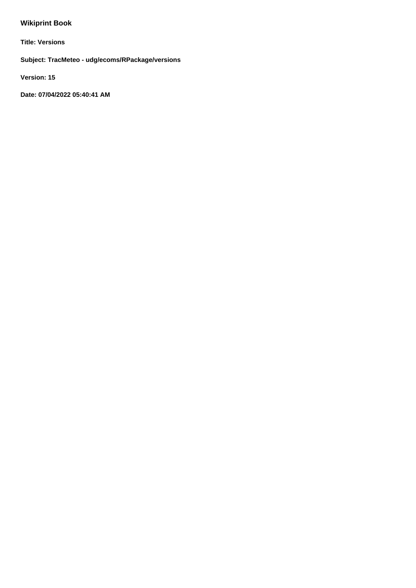# **Wikiprint Book**

**Title: Versions**

**Subject: TracMeteo - udg/ecoms/RPackage/versions**

**Version: 15**

**Date: 07/04/2022 05:40:41 AM**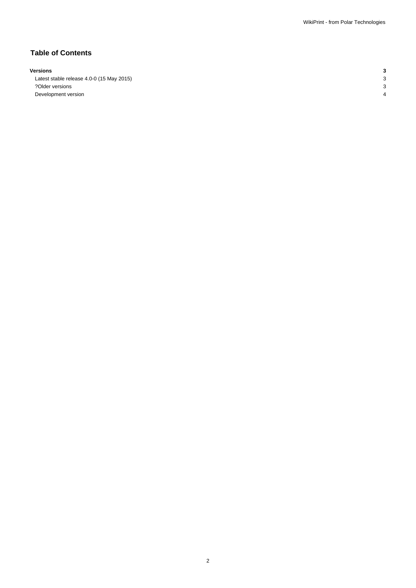## **Table of Contents**

#### **Versions 3**

Latest stable release 4.0-0 (15 May 2015) 3 ?Older versions 3 Development version 4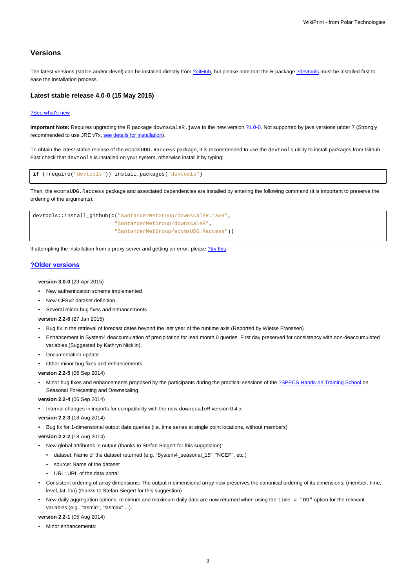## **Versions**

The latest versions (stable and/or devel) can be installed directly from [?gitHub,](https://github.com/SantanderMetGroup/ecomsUDG.Raccess) but please note that the R package [?devtools](http://cran.r-project.org/web/packages/devtools/index.html) must be installed first to ease the installation process.

## **Latest stable release 4.0-0 (15 May 2015)**

#### [?See what's new](https://github.com/SantanderMetGroup/ecomsUDG.Raccess/releases)

**Important Note:** Requires upgrading the R package downscaleR. java to the new version [?1.0-0](https://github.com/SantanderMetGroup/downscaleR.java). Not supported by java versions under 7 (Strongly recommended to use JRE v7x, [see details for installation](https://meteo.unican.es/trac/wiki/udg/ecoms/RPackage/prerequisites)).

To obtain the latest stable release of the ecomsUDG.Raccess package, it is recommended to use the devtools utility to install packages from Github. First check that devtools is installed on your system, otherwise install it by typing:

```
if (!require("devtools")) install.packages("devtools")
```
Then, the ecomsUDG.Raccess package and associated dependencies are installed by entering the following command (it is important to preserve the ordering of the arguments):

```
devtools::install_github(c("SantanderMetGroup/downscaleR.java",
              "SantanderMetGroup/downscaleR",
              "SantanderMetGroup/ecomsUDG.Raccess"))
```
If attempting the installation from a proxy server and getting an error, please [?try this.](http://meteo.unican.es/trac/wiki/udg/ecoms/RPackage/setup_proxy)

## **[?Older versions](https://github.com/SantanderMetGroup/ecomsUDG.Raccess/releases)**

**version 3.0-0** (29 Apr 2015)

- New authentication scheme implemented
- New CFSv2 dataset definition
- Several minor bug fixes and enhancements

**version 2.2-6** (27 Jan 2015)

- Bug fix in the retrieval of forecast dates beyond the last year of the runtime axis (Reported by Wietse Franssen)
- Enhancement in System4 deaccumulation of precipitation for lead month 0 queries. First day preserved for consistency with non-deaccumulated variables (Suggested by Kathryn Nicklin).
- Documentation update
- Other minor bug fixes and enhancements

**version 2.2-5** (06 Sep 2014)

Minor bug fixes and enhancements proposed by the participants during the practical sessions of the [?SPECS Hands-on Training School](http://www.meteo.unican.es/projects/specs/workshop2014) on Seasonal Forecasting and Downscaling.

**version 2.2-4** (06 Sep 2014)

• Internal changes in imports for compatibility with the new downscaleR version 0.4-x

**version 2.2-3** (18 Aug 2014)

• Bug fix for 1-dimensional output data queries (i.e. time series at single point locations, without members)

**version 2.2-2** (18 Aug 2014)

- New global attributes in output (thanks to Stefan Siegert for this suggestion):
	- dataset: Name of the dataset returned (e.g. "System4\_seasonal\_15", "NCEP", etc.)
	- source: Name of the dataset
	- URL: URL of the data portal
- Consistent ordering of array dimensions: The output n-dimensional array now preserves the canonical ordering of its dimensions: (member, time, level, lat, lon) (thanks to Stefan Siegert for this suggestion)
- New daily aggregation options: minimum and maximum daily data are now returned when using the time = "DD" option for the relevant variables (e.g. "tasmin", "tasmax" ...).

**version 2.2-1** (05 Aug 2014)

• Minor enhancements: